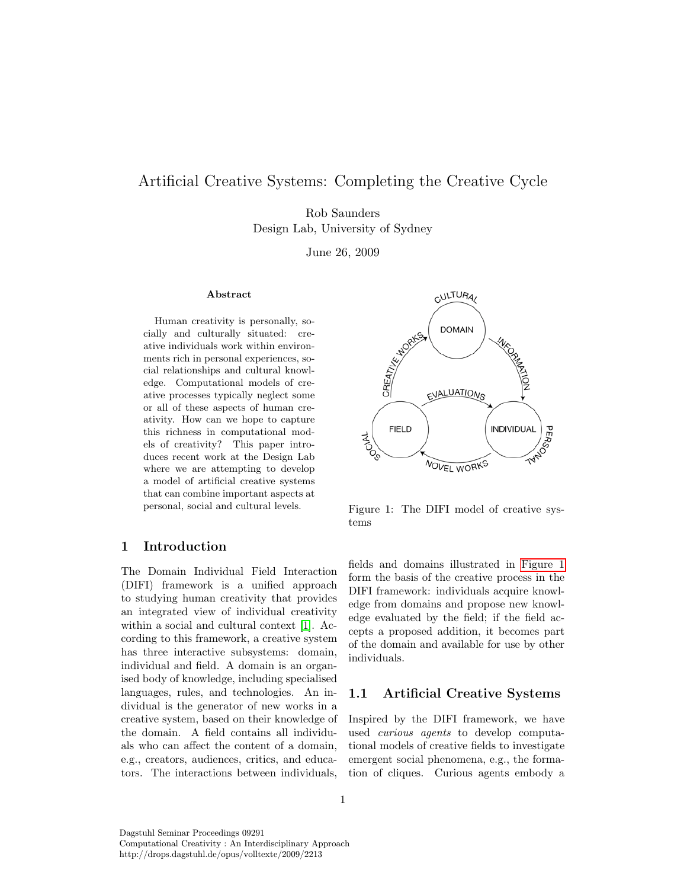# <span id="page-0-1"></span>Artificial Creative Systems: Completing the Creative Cycle

Rob Saunders Design Lab, University of Sydney

June 26, 2009

### Abstract

Human creativity is personally, socially and culturally situated: creative individuals work within environments rich in personal experiences, social relationships and cultural knowledge. Computational models of creative processes typically neglect some or all of these aspects of human creativity. How can we hope to capture this richness in computational models of creativity? This paper introduces recent work at the Design Lab where we are attempting to develop a model of artificial creative systems that can combine important aspects at personal, social and cultural levels.

# 1 Introduction

The Domain Individual Field Interaction (DIFI) framework is a unified approach to studying human creativity that provides an integrated view of individual creativity within a social and cultural context [\[1\]](#page-3-0). According to this framework, a creative system has three interactive subsystems: domain, individual and field. A domain is an organised body of knowledge, including specialised languages, rules, and technologies. An individual is the generator of new works in a creative system, based on their knowledge of the domain. A field contains all individuals who can affect the content of a domain, e.g., creators, audiences, critics, and educators. The interactions between individuals,



<span id="page-0-0"></span>Figure 1: The DIFI model of creative systems

fields and domains illustrated in [Figure 1](#page-0-0) form the basis of the creative process in the DIFI framework: individuals acquire knowledge from domains and propose new knowledge evaluated by the field; if the field accepts a proposed addition, it becomes part of the domain and available for use by other individuals.

### 1.1 Artificial Creative Systems

Inspired by the DIFI framework, we have used curious agents to develop computational models of creative fields to investigate emergent social phenomena, e.g., the formation of cliques. Curious agents embody a

Dagstuhl Seminar Proceedings 09291 Computational Creativity : An Interdisciplinary Approach http://drops.dagstuhl.de/opus/volltexte/2009/2213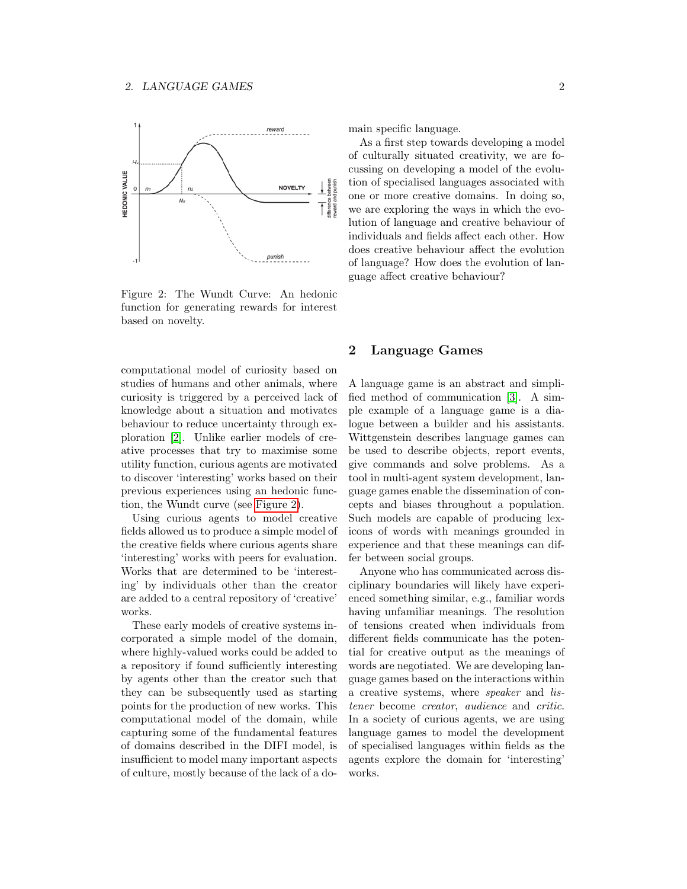<span id="page-1-1"></span>

<span id="page-1-0"></span>Figure 2: The Wundt Curve: An hedonic function for generating rewards for interest based on novelty.

computational model of curiosity based on studies of humans and other animals, where curiosity is triggered by a perceived lack of knowledge about a situation and motivates behaviour to reduce uncertainty through exploration [\[2\]](#page-3-1). Unlike earlier models of creative processes that try to maximise some utility function, curious agents are motivated to discover 'interesting' works based on their previous experiences using an hedonic function, the Wundt curve (see [Figure 2\)](#page-1-0).

Using curious agents to model creative fields allowed us to produce a simple model of the creative fields where curious agents share 'interesting' works with peers for evaluation. Works that are determined to be 'interesting' by individuals other than the creator are added to a central repository of 'creative' works.

These early models of creative systems incorporated a simple model of the domain, where highly-valued works could be added to a repository if found sufficiently interesting by agents other than the creator such that they can be subsequently used as starting points for the production of new works. This computational model of the domain, while capturing some of the fundamental features of domains described in the DIFI model, is insufficient to model many important aspects of culture, mostly because of the lack of a domain specific language.

As a first step towards developing a model of culturally situated creativity, we are focussing on developing a model of the evolution of specialised languages associated with one or more creative domains. In doing so, we are exploring the ways in which the evolution of language and creative behaviour of individuals and fields affect each other. How does creative behaviour affect the evolution of language? How does the evolution of language affect creative behaviour?

## 2 Language Games

A language game is an abstract and simplified method of communication [\[3\]](#page-3-2). A simple example of a language game is a dialogue between a builder and his assistants. Wittgenstein describes language games can be used to describe objects, report events, give commands and solve problems. As a tool in multi-agent system development, language games enable the dissemination of concepts and biases throughout a population. Such models are capable of producing lexicons of words with meanings grounded in experience and that these meanings can differ between social groups.

Anyone who has communicated across disciplinary boundaries will likely have experienced something similar, e.g., familiar words having unfamiliar meanings. The resolution of tensions created when individuals from different fields communicate has the potential for creative output as the meanings of words are negotiated. We are developing language games based on the interactions within a creative systems, where speaker and listener become creator, audience and critic. In a society of curious agents, we are using language games to model the development of specialised languages within fields as the agents explore the domain for 'interesting' works.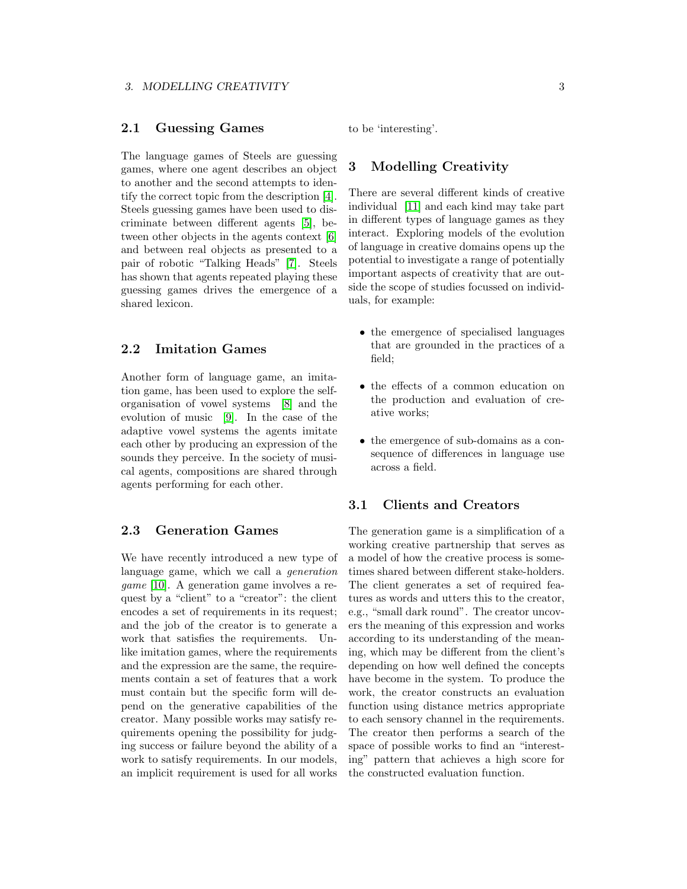# <span id="page-2-0"></span>2.1 Guessing Games

The language games of Steels are guessing games, where one agent describes an object to another and the second attempts to identify the correct topic from the description [\[4\]](#page-3-3). Steels guessing games have been used to discriminate between different agents [\[5\]](#page-4-0), between other objects in the agents context [\[6\]](#page-4-1) and between real objects as presented to a pair of robotic "Talking Heads" [\[7\]](#page-4-2). Steels has shown that agents repeated playing these guessing games drives the emergence of a shared lexicon.

# 2.2 Imitation Games

Another form of language game, an imitation game, has been used to explore the selforganisation of vowel systems [\[8\]](#page-4-3) and the evolution of music [\[9\]](#page-4-4). In the case of the adaptive vowel systems the agents imitate each other by producing an expression of the sounds they perceive. In the society of musical agents, compositions are shared through agents performing for each other.

# 2.3 Generation Games

We have recently introduced a new type of language game, which we call a generation game [\[10\]](#page-4-5). A generation game involves a request by a "client" to a "creator": the client encodes a set of requirements in its request; and the job of the creator is to generate a work that satisfies the requirements. Unlike imitation games, where the requirements and the expression are the same, the requirements contain a set of features that a work must contain but the specific form will depend on the generative capabilities of the creator. Many possible works may satisfy requirements opening the possibility for judging success or failure beyond the ability of a work to satisfy requirements. In our models, an implicit requirement is used for all works

to be 'interesting'.

## 3 Modelling Creativity

There are several different kinds of creative individual [\[11\]](#page-4-6) and each kind may take part in different types of language games as they interact. Exploring models of the evolution of language in creative domains opens up the potential to investigate a range of potentially important aspects of creativity that are outside the scope of studies focussed on individuals, for example:

- the emergence of specialised languages that are grounded in the practices of a field;
- the effects of a common education on the production and evaluation of creative works;
- the emergence of sub-domains as a consequence of differences in language use across a field.

### 3.1 Clients and Creators

The generation game is a simplification of a working creative partnership that serves as a model of how the creative process is sometimes shared between different stake-holders. The client generates a set of required features as words and utters this to the creator, e.g., "small dark round". The creator uncovers the meaning of this expression and works according to its understanding of the meaning, which may be different from the client's depending on how well defined the concepts have become in the system. To produce the work, the creator constructs an evaluation function using distance metrics appropriate to each sensory channel in the requirements. The creator then performs a search of the space of possible works to find an "interesting" pattern that achieves a high score for the constructed evaluation function.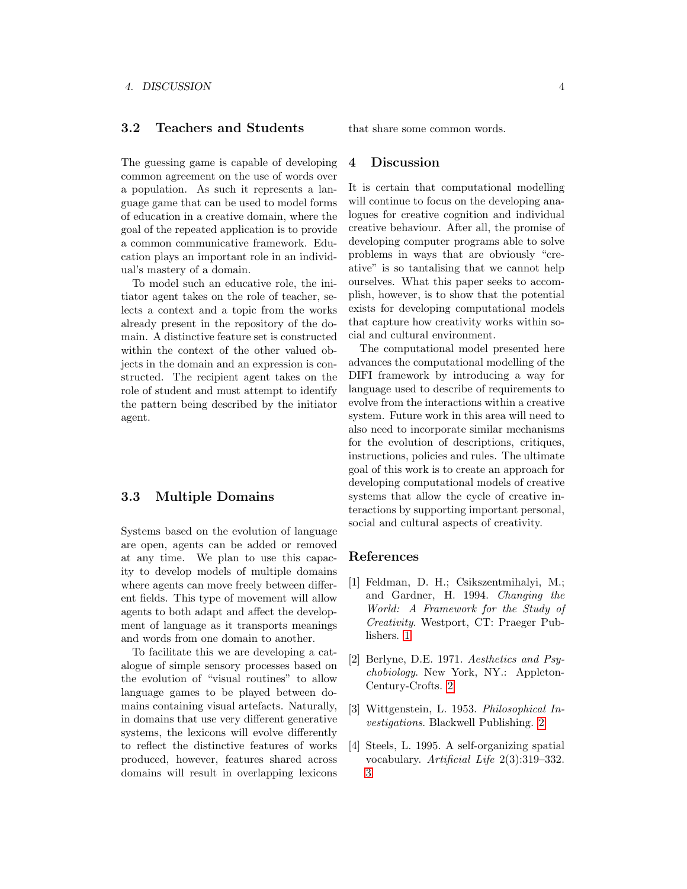## 3.2 Teachers and Students

The guessing game is capable of developing common agreement on the use of words over a population. As such it represents a language game that can be used to model forms of education in a creative domain, where the goal of the repeated application is to provide a common communicative framework. Education plays an important role in an individual's mastery of a domain.

To model such an educative role, the initiator agent takes on the role of teacher, selects a context and a topic from the works already present in the repository of the domain. A distinctive feature set is constructed within the context of the other valued objects in the domain and an expression is constructed. The recipient agent takes on the role of student and must attempt to identify the pattern being described by the initiator agent.

### 3.3 Multiple Domains

Systems based on the evolution of language are open, agents can be added or removed at any time. We plan to use this capacity to develop models of multiple domains where agents can move freely between different fields. This type of movement will allow agents to both adapt and affect the development of language as it transports meanings and words from one domain to another.

To facilitate this we are developing a catalogue of simple sensory processes based on the evolution of "visual routines" to allow language games to be played between domains containing visual artefacts. Naturally, in domains that use very different generative systems, the lexicons will evolve differently to reflect the distinctive features of works produced, however, features shared across domains will result in overlapping lexicons

that share some common words.

#### 4 Discussion

It is certain that computational modelling will continue to focus on the developing analogues for creative cognition and individual creative behaviour. After all, the promise of developing computer programs able to solve problems in ways that are obviously "creative" is so tantalising that we cannot help ourselves. What this paper seeks to accomplish, however, is to show that the potential exists for developing computational models that capture how creativity works within social and cultural environment.

The computational model presented here advances the computational modelling of the DIFI framework by introducing a way for language used to describe of requirements to evolve from the interactions within a creative system. Future work in this area will need to also need to incorporate similar mechanisms for the evolution of descriptions, critiques, instructions, policies and rules. The ultimate goal of this work is to create an approach for developing computational models of creative systems that allow the cycle of creative interactions by supporting important personal, social and cultural aspects of creativity.

### References

- <span id="page-3-0"></span>[1] Feldman, D. H.; Csikszentmihalyi, M.; and Gardner, H. 1994. Changing the World: A Framework for the Study of Creativity. Westport, CT: Praeger Publishers. [1](#page-0-1)
- <span id="page-3-1"></span>[2] Berlyne, D.E. 1971. Aesthetics and Psychobiology. New York, NY.: Appleton-Century-Crofts. [2](#page-1-1)
- <span id="page-3-2"></span>[3] Wittgenstein, L. 1953. Philosophical Investigations. Blackwell Publishing. [2](#page-1-1)
- <span id="page-3-3"></span>[4] Steels, L. 1995. A self-organizing spatial vocabulary. Artificial Life 2(3):319-332. [3](#page-2-0)